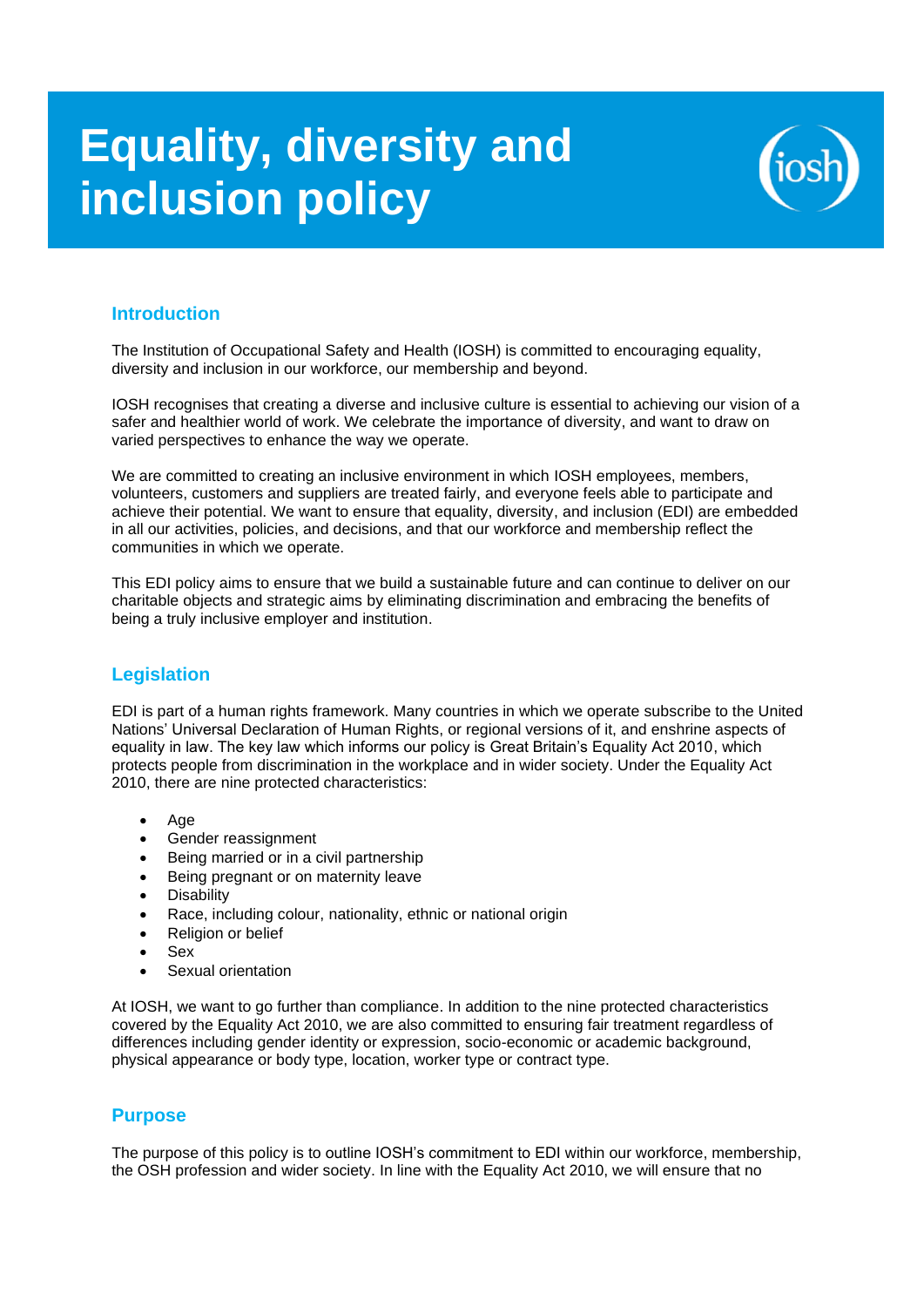# **Equality, diversity and inclusion policy**



# **Introduction**

The Institution of Occupational Safety and Health (IOSH) is committed to encouraging equality, diversity and inclusion in our workforce, our membership and beyond.

IOSH recognises that creating a diverse and inclusive culture is essential to achieving our vision of a safer and healthier world of work. We celebrate the importance of diversity, and want to draw on varied perspectives to enhance the way we operate.

We are committed to creating an inclusive environment in which IOSH employees, members, volunteers, customers and suppliers are treated fairly, and everyone feels able to participate and achieve their potential. We want to ensure that equality, diversity, and inclusion (EDI) are embedded in all our activities, policies, and decisions, and that our workforce and membership reflect the communities in which we operate.

This EDI policy aims to ensure that we build a sustainable future and can continue to deliver on our charitable objects and strategic aims by eliminating discrimination and embracing the benefits of being a truly inclusive employer and institution.

# **Legislation**

EDI is part of a human rights framework. Many countries in which we operate subscribe to the United Nations' Universal Declaration of Human Rights, or regional versions of it, and enshrine aspects of equality in law. The key law which informs our policy is Great Britain's Equality Act 2010, which protects people from discrimination in the workplace and in wider society. Under the Equality Act 2010, there are nine protected characteristics:

- Age
- Gender reassignment
- Being married or in a civil partnership
- Being pregnant or on maternity leave
- Disability
- Race, including colour, nationality, ethnic or national origin
- Religion or belief
- Sex
- Sexual orientation

At IOSH, we want to go further than compliance. In addition to the nine protected characteristics covered by the Equality Act 2010, we are also committed to ensuring fair treatment regardless of differences including gender identity or expression, socio-economic or academic background, physical appearance or body type, location, worker type or contract type.

# **Purpose**

The purpose of this policy is to outline IOSH's commitment to EDI within our workforce, membership, the OSH profession and wider society. In line with the Equality Act 2010, we will ensure that no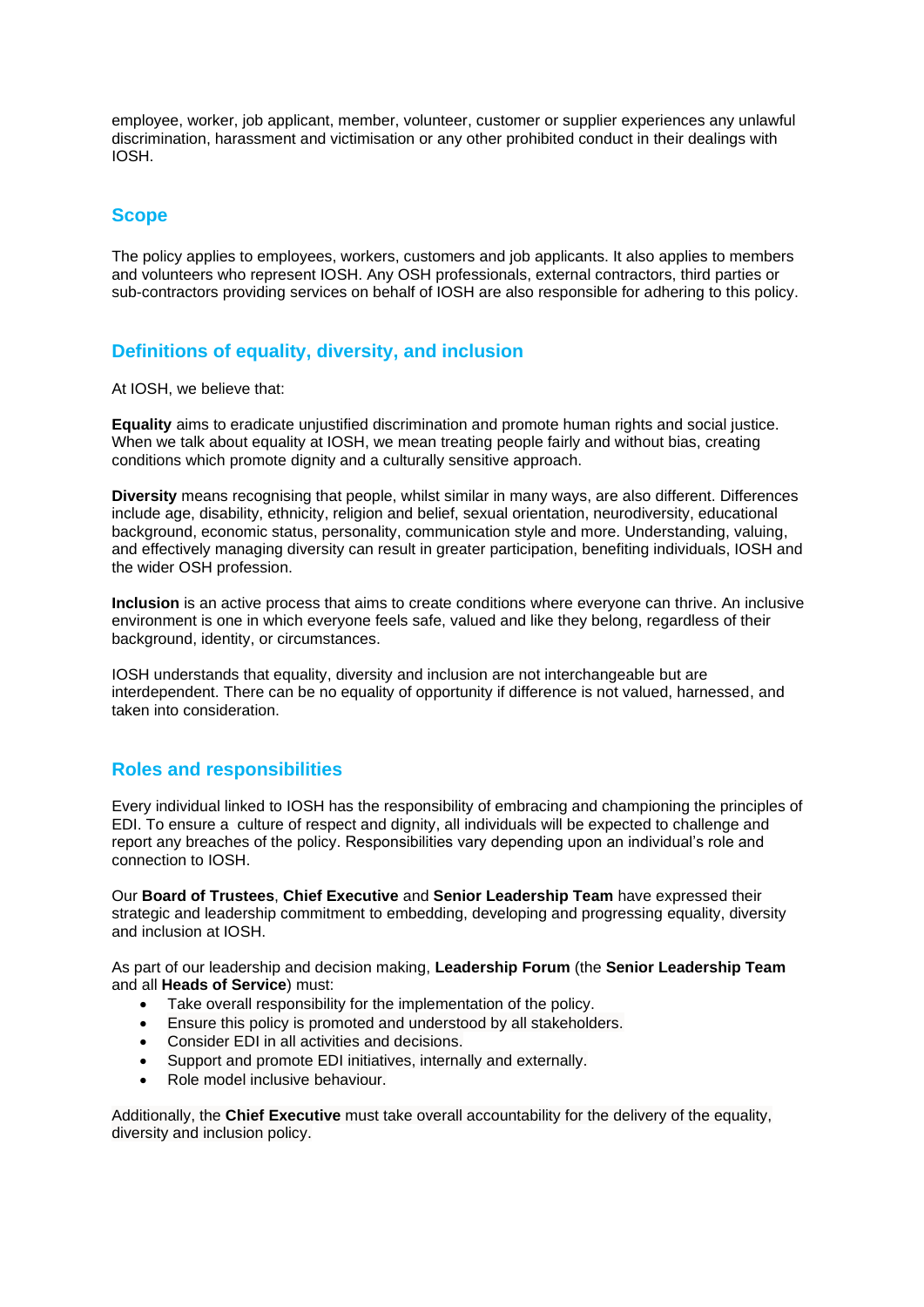employee, worker, job applicant, member, volunteer, customer or supplier experiences any unlawful discrimination, harassment and victimisation or any other prohibited conduct in their dealings with IOSH.

# **Scope**

The policy applies to employees, workers, customers and job applicants. It also applies to members and volunteers who represent IOSH. Any OSH professionals, external contractors, third parties or sub-contractors providing services on behalf of IOSH are also responsible for adhering to this policy.

# **Definitions of equality, diversity, and inclusion**

At IOSH, we believe that:

**Equality** aims to eradicate unjustified discrimination and promote human rights and social justice. When we talk about equality at IOSH, we mean treating people fairly and without bias, creating conditions which promote dignity and a culturally sensitive approach.

**Diversity** means recognising that people, whilst similar in many ways, are also different. Differences include age, disability, ethnicity, religion and belief, sexual orientation, neurodiversity, educational background, economic status, personality, communication style and more. Understanding, valuing, and effectively managing diversity can result in greater participation, benefiting individuals, IOSH and the wider OSH profession.

**Inclusion** is an active process that aims to create conditions where everyone can thrive. An inclusive environment is one in which everyone feels safe, valued and like they belong, regardless of their background, identity, or circumstances.

IOSH understands that equality, diversity and inclusion are not interchangeable but are interdependent. There can be no equality of opportunity if difference is not valued, harnessed, and taken into consideration.

# **Roles and responsibilities**

Every individual linked to IOSH has the responsibility of embracing and championing the principles of EDI. To ensure a culture of respect and dignity, all individuals will be expected to challenge and report any breaches of the policy. Responsibilities vary depending upon an individual's role and connection to IOSH.

Our **Board of Trustees**, **Chief Executive** and **Senior Leadership Team** have expressed their strategic and leadership commitment to embedding, developing and progressing equality, diversity and inclusion at IOSH.

As part of our leadership and decision making, **Leadership Forum** (the **Senior Leadership Team**  and all **Heads of Service**) must:

- Take overall responsibility for the implementation of the policy.
- Ensure this policy is promoted and understood by all stakeholders.
- Consider EDI in all activities and decisions.
- Support and promote EDI initiatives, internally and externally.
- Role model inclusive behaviour.

Additionally, the **Chief Executive** must take overall accountability for the delivery of the equality, diversity and inclusion policy.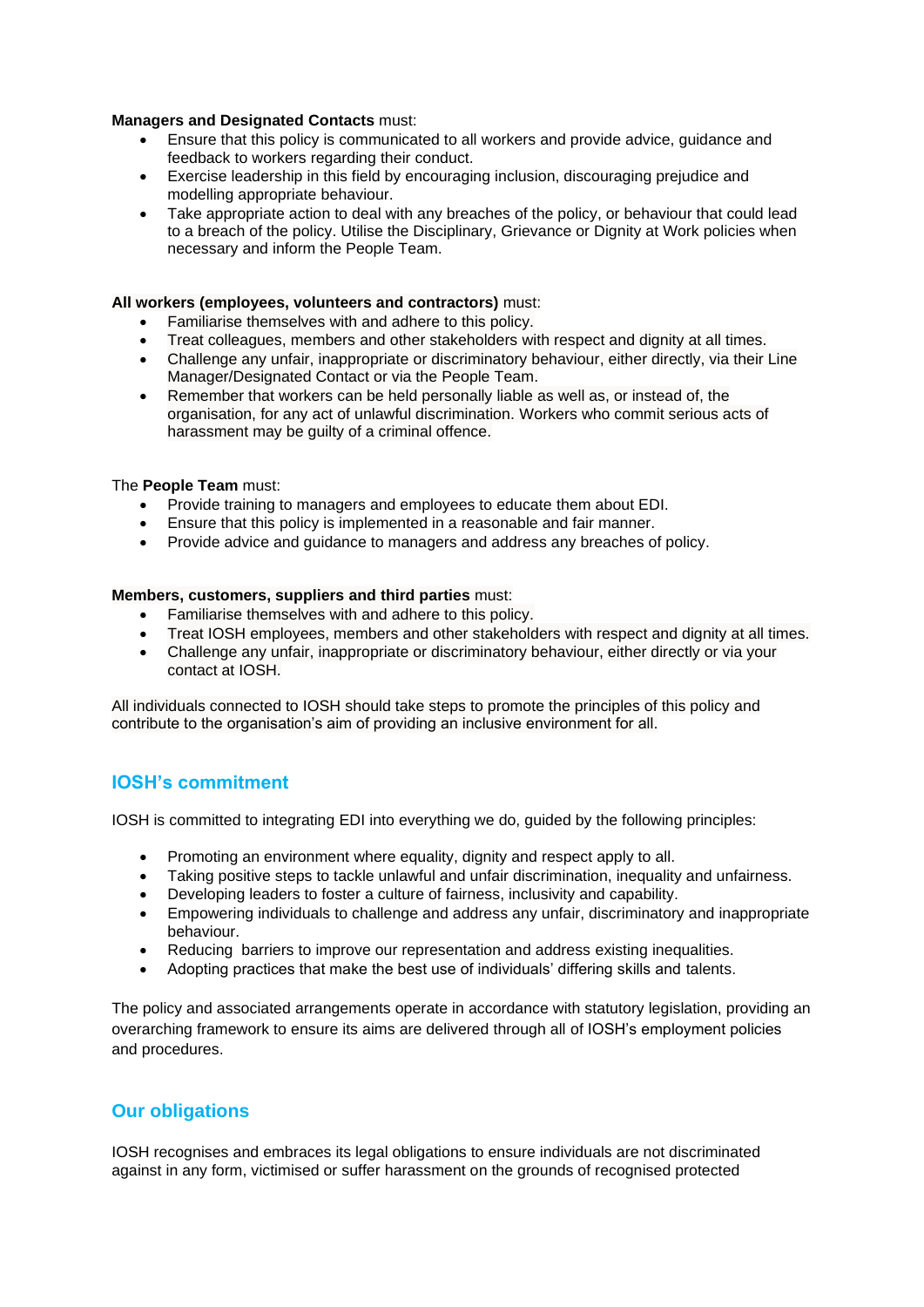#### **Managers and Designated Contacts** must:

- Ensure that this policy is communicated to all workers and provide advice, guidance and feedback to workers regarding their conduct.
- Exercise leadership in this field by encouraging inclusion, discouraging prejudice and modelling appropriate behaviour.
- Take appropriate action to deal with any breaches of the policy, or behaviour that could lead to a breach of the policy. Utilise the Disciplinary, Grievance or Dignity at Work policies when necessary and inform the People Team.

#### **All workers (employees, volunteers and contractors)** must:

- Familiarise themselves with and adhere to this policy.
- Treat colleagues, members and other stakeholders with respect and dignity at all times.
- Challenge any unfair, inappropriate or discriminatory behaviour, either directly, via their Line Manager/Designated Contact or via the People Team.
- Remember that workers can be held personally liable as well as, or instead of, the organisation, for any act of unlawful discrimination. Workers who commit serious acts of harassment may be guilty of a criminal offence.

### The **People Team** must:

- Provide training to managers and employees to educate them about EDI.
- Ensure that this policy is implemented in a reasonable and fair manner.
- Provide advice and guidance to managers and address any breaches of policy.

#### **Members, customers, suppliers and third parties** must:

- Familiarise themselves with and adhere to this policy.
- Treat IOSH employees, members and other stakeholders with respect and dignity at all times.
- Challenge any unfair, inappropriate or discriminatory behaviour, either directly or via your contact at IOSH.

All individuals connected to IOSH should take steps to promote the principles of this policy and contribute to the organisation's aim of providing an inclusive environment for all.

# **IOSH's commitment**

IOSH is committed to integrating EDI into everything we do, guided by the following principles:

- Promoting an environment where equality, dignity and respect apply to all.
- Taking positive steps to tackle unlawful and unfair discrimination, inequality and unfairness.
- Developing leaders to foster a culture of fairness, inclusivity and capability.
- Empowering individuals to challenge and address any unfair, discriminatory and inappropriate behaviour.
- Reducing barriers to improve our representation and address existing inequalities.
- Adopting practices that make the best use of individuals' differing skills and talents.

The policy and associated arrangements operate in accordance with statutory legislation, providing an overarching framework to ensure its aims are delivered through all of IOSH's employment policies and procedures.

# **Our obligations**

IOSH recognises and embraces its legal obligations to ensure individuals are not discriminated against in any form, victimised or suffer harassment on the grounds of recognised protected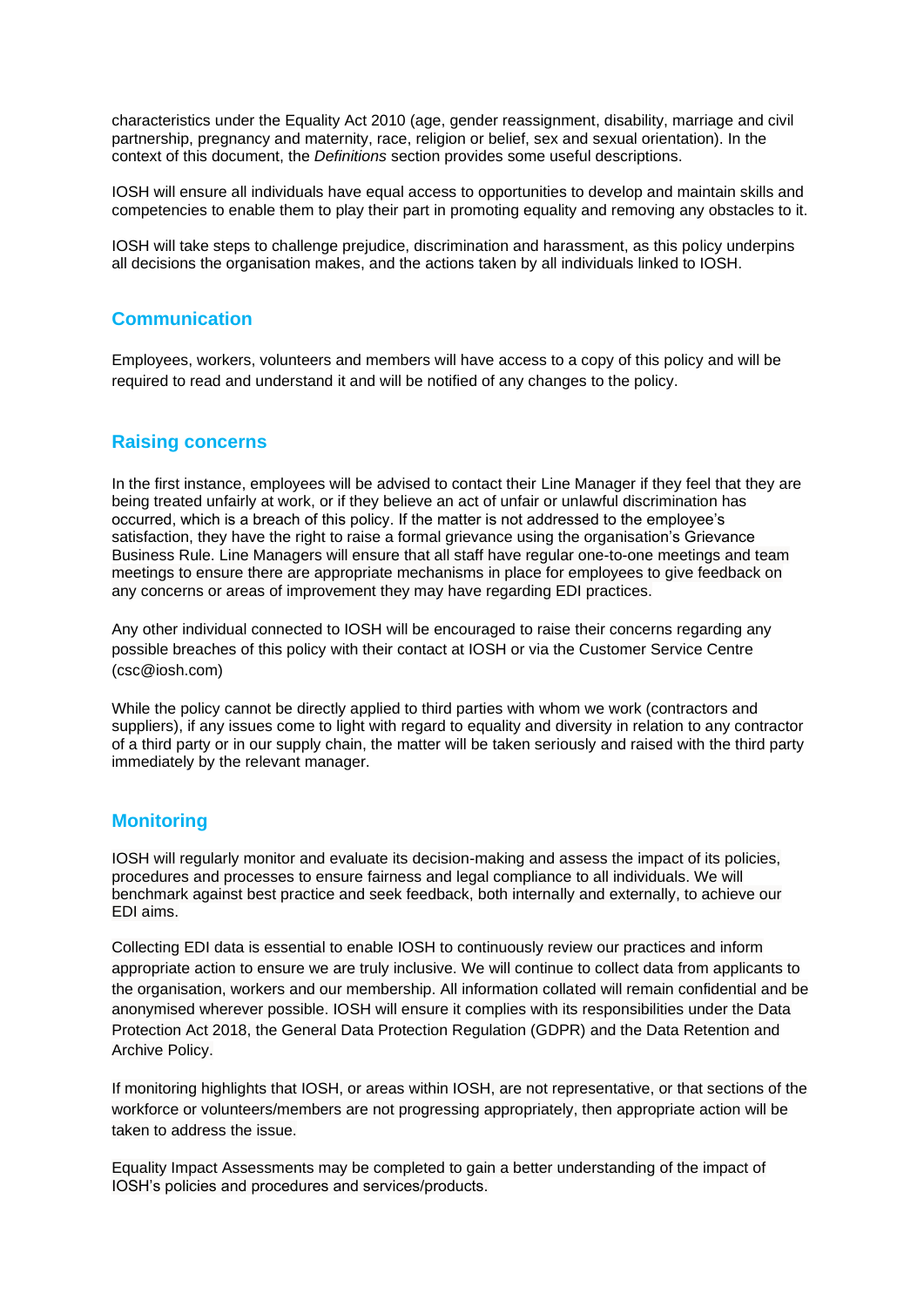characteristics under the Equality Act 2010 (age, gender reassignment, disability, marriage and civil partnership, pregnancy and maternity, race, religion or belief, sex and sexual orientation). In the context of this document, the *Definitions* section provides some useful descriptions.

IOSH will ensure all individuals have equal access to opportunities to develop and maintain skills and competencies to enable them to play their part in promoting equality and removing any obstacles to it.

IOSH will take steps to challenge prejudice, discrimination and harassment, as this policy underpins all decisions the organisation makes, and the actions taken by all individuals linked to IOSH.

# **Communication**

Employees, workers, volunteers and members will have access to a copy of this policy and will be required to read and understand it and will be notified of any changes to the policy.

## **Raising concerns**

In the first instance, employees will be advised to contact their Line Manager if they feel that they are being treated unfairly at work, or if they believe an act of unfair or unlawful discrimination has occurred, which is a breach of this policy. If the matter is not addressed to the employee's satisfaction, they have the right to raise a formal grievance using the organisation's Grievance Business Rule. Line Managers will ensure that all staff have regular one-to-one meetings and team meetings to ensure there are appropriate mechanisms in place for employees to give feedback on any concerns or areas of improvement they may have regarding EDI practices.

Any other individual connected to IOSH will be encouraged to raise their concerns regarding any possible breaches of this policy with their contact at IOSH or via the Customer Service Centre (csc@iosh.com)

While the policy cannot be directly applied to third parties with whom we work (contractors and suppliers), if any issues come to light with regard to equality and diversity in relation to any contractor of a third party or in our supply chain, the matter will be taken seriously and raised with the third party immediately by the relevant manager.

### **Monitoring**

IOSH will regularly monitor and evaluate its decision-making and assess the impact of its policies, procedures and processes to ensure fairness and legal compliance to all individuals. We will benchmark against best practice and seek feedback, both internally and externally, to achieve our EDI aims.

Collecting EDI data is essential to enable IOSH to continuously review our practices and inform appropriate action to ensure we are truly inclusive. We will continue to collect data from applicants to the organisation, workers and our membership. All information collated will remain confidential and be anonymised wherever possible. IOSH will ensure it complies with its responsibilities under the Data Protection Act 2018, the General Data Protection Regulation (GDPR) and the Data Retention and Archive Policy.

If monitoring highlights that IOSH, or areas within IOSH, are not representative, or that sections of the workforce or volunteers/members are not progressing appropriately, then appropriate action will be taken to address the issue.

Equality Impact Assessments may be completed to gain a better understanding of the impact of IOSH's policies and procedures and services/products.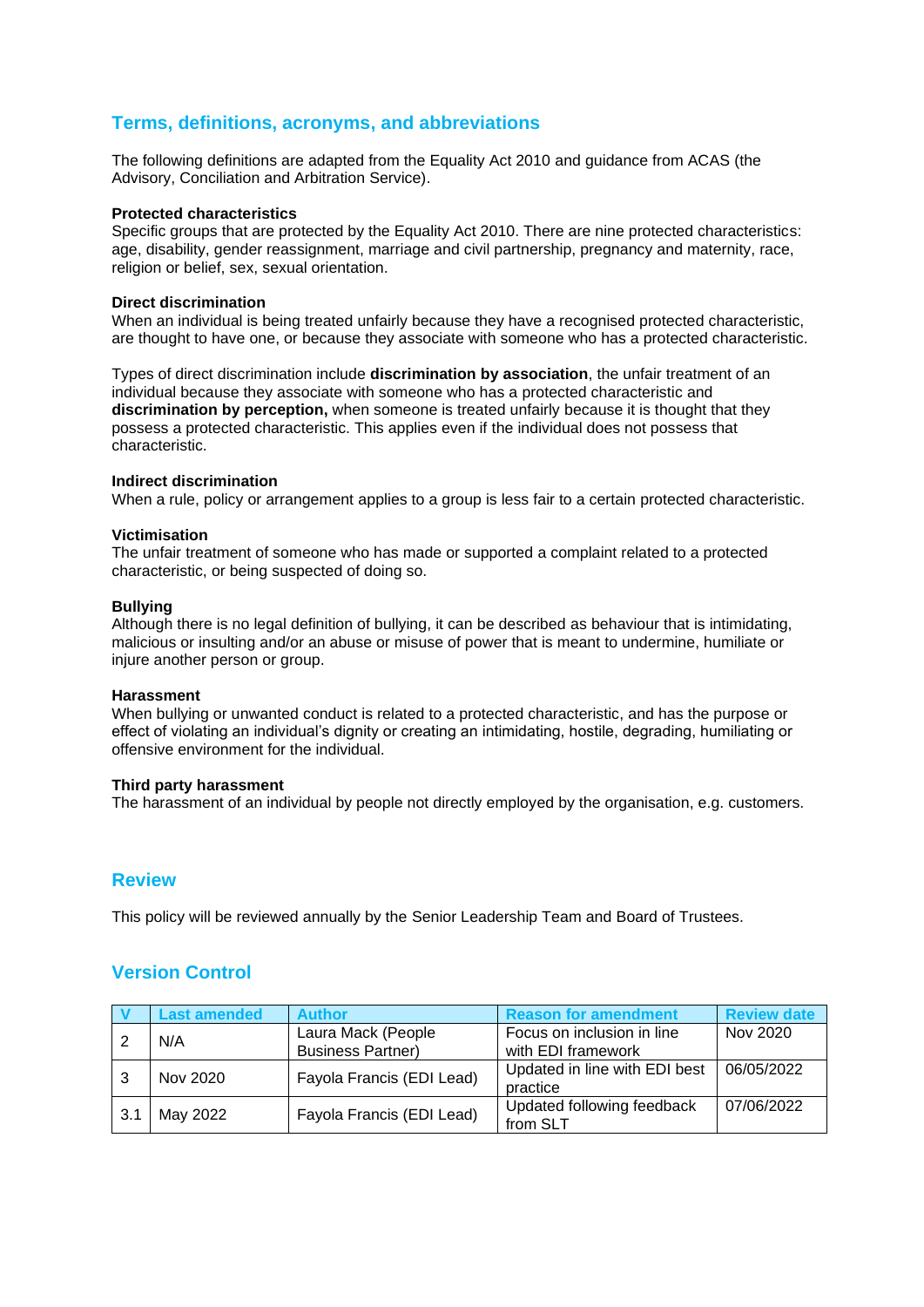# **Terms, definitions, acronyms, and abbreviations**

The following definitions are adapted from the Equality Act 2010 and guidance from ACAS (the Advisory, Conciliation and Arbitration Service).

#### **Protected characteristics**

Specific groups that are protected by the Equality Act 2010. There are nine protected characteristics: age, disability, gender reassignment, marriage and civil partnership, pregnancy and maternity, race, religion or belief, sex, sexual orientation.

#### **Direct discrimination**

When an individual is being treated unfairly because they have a recognised protected characteristic. are thought to have one, or because they associate with someone who has a protected characteristic.

Types of direct discrimination include **discrimination by association**, the unfair treatment of an individual because they associate with someone who has a protected characteristic and **discrimination by perception,** when someone is treated unfairly because it is thought that they possess a protected characteristic. This applies even if the individual does not possess that characteristic.

#### **Indirect discrimination**

When a rule, policy or arrangement applies to a group is less fair to a certain protected characteristic.

#### **Victimisation**

The unfair treatment of someone who has made or supported a complaint related to a protected characteristic, or being suspected of doing so.

#### **Bullying**

Although there is no legal definition of bullying, it can be described as behaviour that is intimidating, malicious or insulting and/or an abuse or misuse of power that is meant to undermine, humiliate or injure another person or group.

#### **Harassment**

When bullying or unwanted conduct is related to a protected characteristic, and has the purpose or effect of violating an individual's dignity or creating an intimidating, hostile, degrading, humiliating or offensive environment for the individual.

#### **Third party harassment**

The harassment of an individual by people not directly employed by the organisation, e.g. customers.

### **Review**

This policy will be reviewed annually by the Senior Leadership Team and Board of Trustees.

# **Version Control**

|     | <b>Last amended</b> | <b>Author</b>             | <b>Reason for amendment</b>   | <b>Review date</b> |
|-----|---------------------|---------------------------|-------------------------------|--------------------|
|     | N/A                 | Laura Mack (People        | Focus on inclusion in line    | Nov 2020           |
|     |                     | <b>Business Partner)</b>  | with EDI framework            |                    |
|     | Nov 2020            | Fayola Francis (EDI Lead) | Updated in line with EDI best | 06/05/2022         |
|     |                     |                           | practice                      |                    |
| 3.1 | May 2022            | Fayola Francis (EDI Lead) | Updated following feedback    | 07/06/2022         |
|     |                     |                           | from SLT                      |                    |